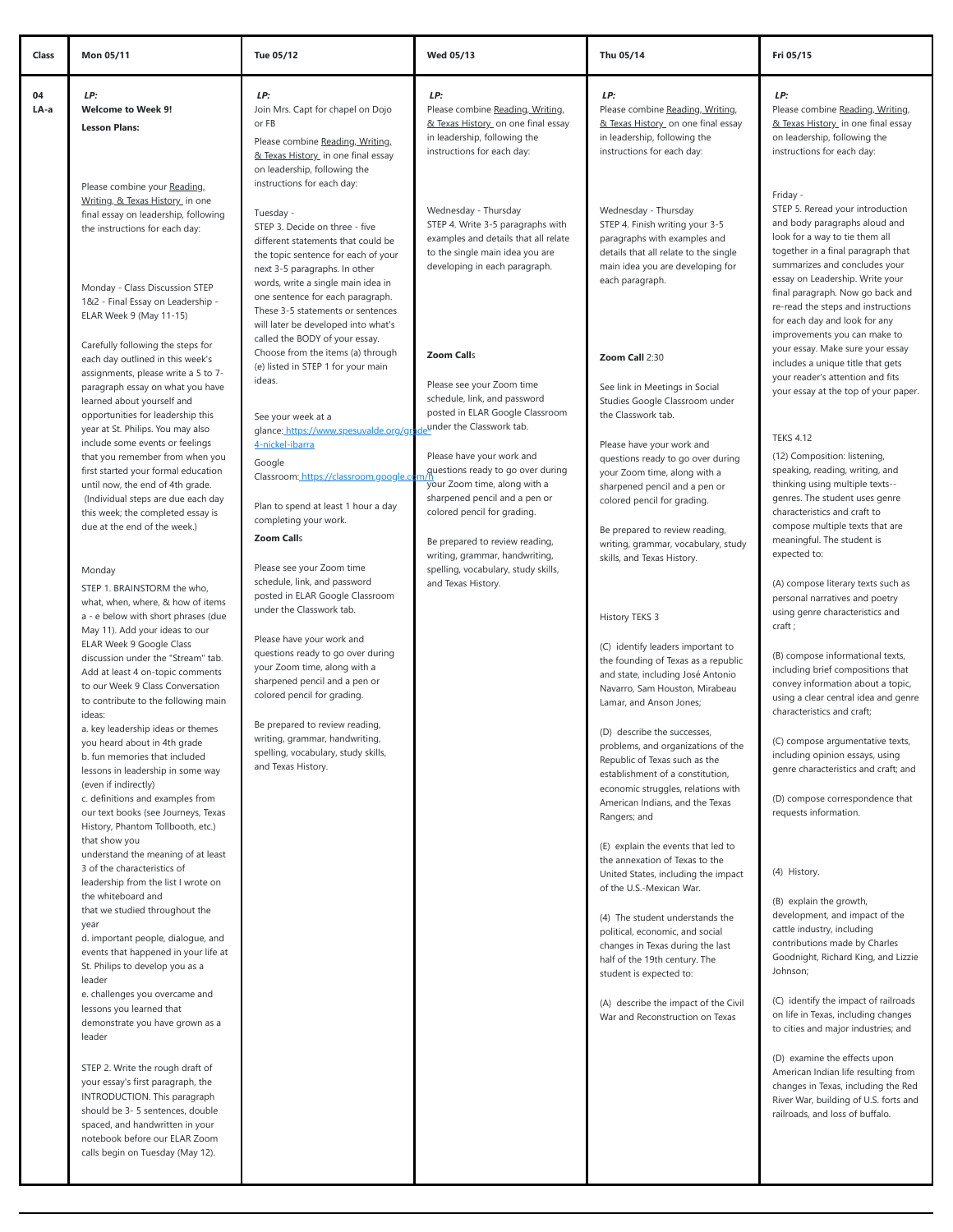| 04<br>LP:<br>LP:<br>LP:<br>LP:<br><b>Welcome to Week 9!</b><br>LA-a<br>Join Mrs. Capt for chapel on Dojo<br>Please combine Reading, Writing,<br>Please combine Reading, Writing,<br>& Texas History on one final essay<br>& Texas History on one final essay<br>or FB<br><b>Lesson Plans:</b><br>in leadership, following the<br>in leadership, following the<br>Please combine Reading, Writing,<br>instructions for each day:<br>instructions for each day:<br>& Texas History in one final essay<br>on leadership, following the<br>instructions for each day:<br>Please combine your Reading,<br>Writing, & Texas History in one<br>Wednesday - Thursday<br>Wednesday - Thursday<br>final essay on leadership, following<br>Tuesday -<br>STEP 4. Write 3-5 paragraphs with<br>STEP 4. Finish writing your 3-5<br>STEP 3. Decide on three - five<br>the instructions for each day:<br>examples and details that all relate<br>paragraphs with examples and<br>different statements that could be<br>details that all relate to the single<br>to the single main idea you are<br>the topic sentence for each of your<br>main idea you are developing for<br>developing in each paragraph.<br>next 3-5 paragraphs. In other<br>each paragraph.<br>words, write a single main idea in<br>Monday - Class Discussion STEP<br>one sentence for each paragraph.<br>1&2 - Final Essay on Leadership -<br>These 3-5 statements or sentences<br>ELAR Week 9 (May 11-15)<br>will later be developed into what's<br>called the BODY of your essay.<br>Carefully following the steps for<br>Choose from the items (a) through<br><b>Zoom Calls</b><br>Zoom Call 2:30<br>each day outlined in this week's<br>(e) listed in STEP 1 for your main<br>assignments, please write a 5 to 7-<br>ideas.<br>Please see your Zoom time<br>paragraph essay on what you have<br>See link in Meetings in Social<br>schedule, link, and password                                                                                                                                                                                                                                                                                                                                                                                                                                                                                                                                                                                                                                                 | LP:<br>Please combine Reading, Writing,<br>& Texas History in one final essay<br>on leadership, following the<br>instructions for each day:<br>Friday -<br>STEP 5. Reread your introduction<br>and body paragraphs aloud and<br>look for a way to tie them all<br>together in a final paragraph that<br>summarizes and concludes your<br>essay on Leadership. Write your<br>final paragraph. Now go back and<br>re-read the steps and instructions<br>for each day and look for any<br>improvements you can make to<br>your essay. Make sure your essay<br>includes a unique title that gets<br>your reader's attention and fits<br><b>TEKS 4.12</b>                                                                                                                                                                                                                                                                                                                         |
|--------------------------------------------------------------------------------------------------------------------------------------------------------------------------------------------------------------------------------------------------------------------------------------------------------------------------------------------------------------------------------------------------------------------------------------------------------------------------------------------------------------------------------------------------------------------------------------------------------------------------------------------------------------------------------------------------------------------------------------------------------------------------------------------------------------------------------------------------------------------------------------------------------------------------------------------------------------------------------------------------------------------------------------------------------------------------------------------------------------------------------------------------------------------------------------------------------------------------------------------------------------------------------------------------------------------------------------------------------------------------------------------------------------------------------------------------------------------------------------------------------------------------------------------------------------------------------------------------------------------------------------------------------------------------------------------------------------------------------------------------------------------------------------------------------------------------------------------------------------------------------------------------------------------------------------------------------------------------------------------------------------------------------------------------------------------------------------------------------------------------------------------------------------------------------------------------------------------------------------------------------------------------------------------------------------------------------------------------------------------------------------------------------------------------------------------------------------------------------------------------------------------------------------------------------------------------|------------------------------------------------------------------------------------------------------------------------------------------------------------------------------------------------------------------------------------------------------------------------------------------------------------------------------------------------------------------------------------------------------------------------------------------------------------------------------------------------------------------------------------------------------------------------------------------------------------------------------------------------------------------------------------------------------------------------------------------------------------------------------------------------------------------------------------------------------------------------------------------------------------------------------------------------------------------------------|
|                                                                                                                                                                                                                                                                                                                                                                                                                                                                                                                                                                                                                                                                                                                                                                                                                                                                                                                                                                                                                                                                                                                                                                                                                                                                                                                                                                                                                                                                                                                                                                                                                                                                                                                                                                                                                                                                                                                                                                                                                                                                                                                                                                                                                                                                                                                                                                                                                                                                                                                                                                          |                                                                                                                                                                                                                                                                                                                                                                                                                                                                                                                                                                                                                                                                                                                                                                                                                                                                                                                                                                              |
|                                                                                                                                                                                                                                                                                                                                                                                                                                                                                                                                                                                                                                                                                                                                                                                                                                                                                                                                                                                                                                                                                                                                                                                                                                                                                                                                                                                                                                                                                                                                                                                                                                                                                                                                                                                                                                                                                                                                                                                                                                                                                                                                                                                                                                                                                                                                                                                                                                                                                                                                                                          |                                                                                                                                                                                                                                                                                                                                                                                                                                                                                                                                                                                                                                                                                                                                                                                                                                                                                                                                                                              |
| Studies Google Classroom under<br>learned about yourself and<br>posted in ELAR Google Classroom<br>the Classwork tab.<br>opportunities for leadership this<br>See your week at a<br>under the Classwork tab.<br>year at St. Philips. You may also<br>glance: https://www.spesuvalde.org/gr<br>include some events or feelings<br>4-nickel-ibarra<br>Please have your work and<br>Please have your work and<br>that you remember from when you<br>questions ready to go over during<br>Google<br>guestions ready to go over during<br>first started your formal education<br>your Zoom time, along with a<br>Classroom: https://classroom.google.co<br>your Zoom time, along with a<br>until now, the end of 4th grade.<br>sharpened pencil and a pen or<br>sharpened pencil and a pen or<br>(Individual steps are due each day<br>colored pencil for grading.<br>Plan to spend at least 1 hour a day<br>colored pencil for grading.<br>this week; the completed essay is<br>completing your work.<br>due at the end of the week.)<br>Be prepared to review reading,<br><b>Zoom Calls</b><br>Be prepared to review reading,<br>writing, grammar, vocabulary, study                                                                                                                                                                                                                                                                                                                                                                                                                                                                                                                                                                                                                                                                                                                                                                                                                                                                                                                                                                                                                                                                                                                                                                                                                                                                                                                                                                                                        | your essay at the top of your paper.<br>(12) Composition: listening,<br>speaking, reading, writing, and<br>thinking using multiple texts--<br>genres. The student uses genre<br>characteristics and craft to<br>compose multiple texts that are<br>meaningful. The student is                                                                                                                                                                                                                                                                                                                                                                                                                                                                                                                                                                                                                                                                                                |
| writing, grammar, handwriting,<br>skills, and Texas History.<br>Please see your Zoom time<br>spelling, vocabulary, study skills,<br>Monday<br>schedule, link, and password<br>and Texas History.<br>STEP 1. BRAINSTORM the who,<br>posted in ELAR Google Classroom<br>what, when, where, & how of items<br>under the Classwork tab.<br>a - e below with short phrases (due<br>History TEKS 3<br>May 11). Add your ideas to our<br>Please have your work and<br>ELAR Week 9 Google Class<br>(C) identify leaders important to<br>questions ready to go over during<br>discussion under the "Stream" tab.<br>the founding of Texas as a republic<br>your Zoom time, along with a<br>Add at least 4 on-topic comments<br>and state, including José Antonio<br>sharpened pencil and a pen or<br>to our Week 9 Class Conversation<br>Navarro, Sam Houston, Mirabeau<br>colored pencil for grading.<br>to contribute to the following main<br>Lamar, and Anson Jones;<br>ideas:<br>Be prepared to review reading,<br>a. key leadership ideas or themes<br>(D) describe the successes,<br>writing, grammar, handwriting,<br>you heard about in 4th grade<br>problems, and organizations of the<br>spelling, vocabulary, study skills,<br>b. fun memories that included<br>Republic of Texas such as the<br>and Texas History.<br>lessons in leadership in some way<br>establishment of a constitution,<br>(even if indirectly)<br>economic struggles, relations with<br>c. definitions and examples from<br>American Indians, and the Texas<br>our text books (see Journeys, Texas<br>Rangers; and<br>History, Phantom Tollbooth, etc.)<br>that show you<br>(E) explain the events that led to<br>understand the meaning of at least<br>the annexation of Texas to the<br>3 of the characteristics of<br>United States, including the impact<br>leadership from the list I wrote on<br>of the U.S.-Mexican War.<br>the whiteboard and<br>that we studied throughout the<br>(4) The student understands the<br>year<br>political, economic, and social<br>d. important people, dialogue, and<br>changes in Texas during the last<br>events that happened in your life at<br>half of the 19th century. The<br>St. Philips to develop you as a<br>student is expected to:<br>leader<br>e. challenges you overcame and<br>(A) describe the impact of the Civil<br>lessons you learned that<br>War and Reconstruction on Texas<br>demonstrate you have grown as a<br>leader<br>STEP 2. Write the rough draft of<br>your essay's first paragraph, the<br>INTRODUCTION. This paragraph | expected to:<br>(A) compose literary texts such as<br>personal narratives and poetry<br>using genre characteristics and<br>craft;<br>(B) compose informational texts,<br>including brief compositions that<br>convey information about a topic,<br>using a clear central idea and genre<br>characteristics and craft;<br>(C) compose argumentative texts,<br>including opinion essays, using<br>genre characteristics and craft; and<br>(D) compose correspondence that<br>requests information.<br>(4) History.<br>(B) explain the growth,<br>development, and impact of the<br>cattle industry, including<br>contributions made by Charles<br>Goodnight, Richard King, and Lizzie<br>Johnson;<br>(C) identify the impact of railroads<br>on life in Texas, including changes<br>to cities and major industries; and<br>(D) examine the effects upon<br>American Indian life resulting from<br>changes in Texas, including the Red<br>River War, building of U.S. forts and |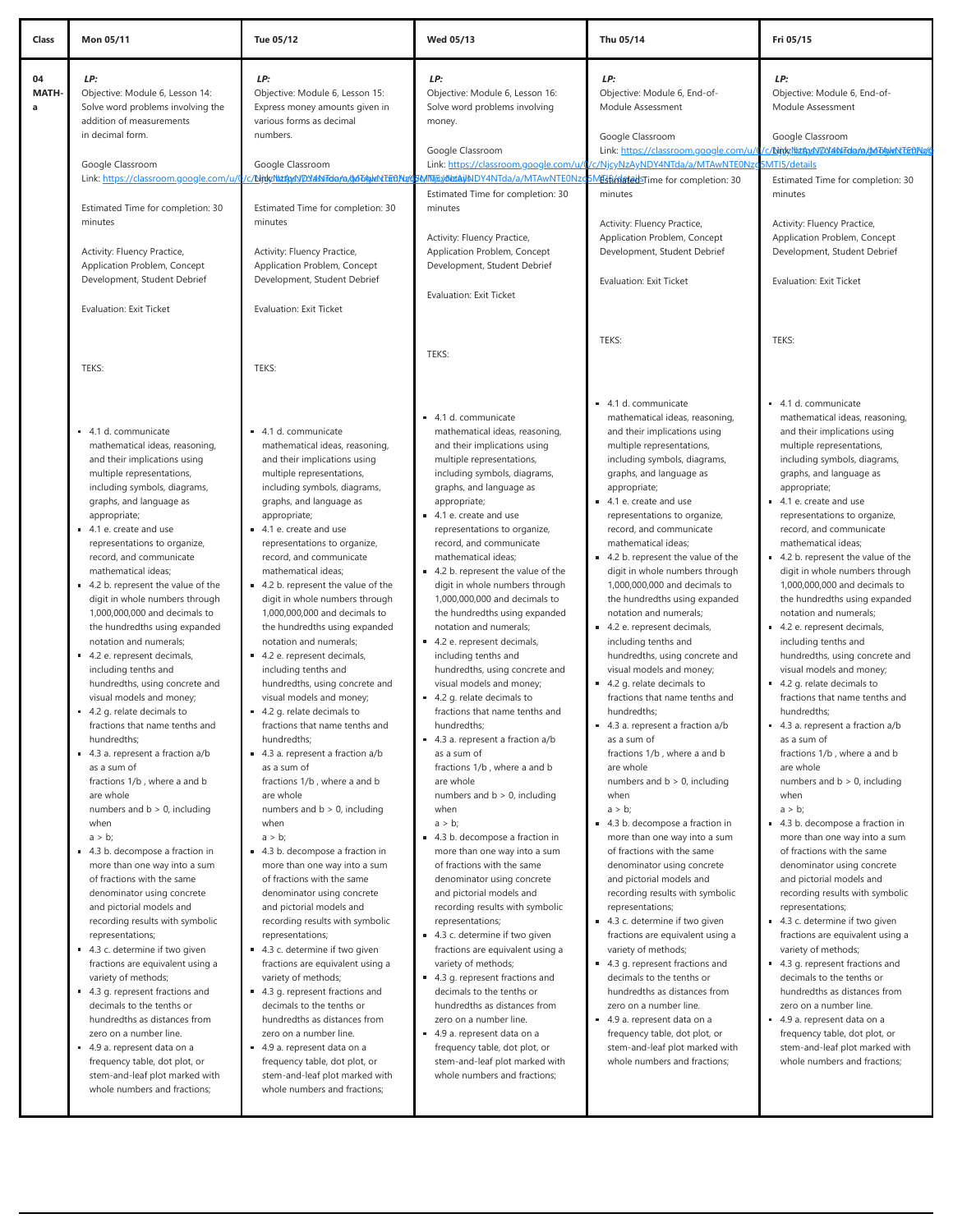| Class            | Mon 05/11                                                                                                                                                                                                                                                                                                                                                                                                                                                                                                                                                                                                                                                                                                                                                                                                                                                                                                                                                                                                                                                                                                                                                                                                                                                                                                                                                                                                  | Tue 05/12                                                                                                                                                                                                                                                                                                                                                                                                                                                                                                                                                                                                                                                                                                                                                                                                                                                                                                                                                                                                                                                                                                                                                                                                                                                                                                                                                                                                  | <b>Wed 05/13</b>                                                                                                                                                                                                                                                                                                                                                                                                                                                                                                                                                                                                                                                                                                                                                                                                                                                                                                                                                                                                                                                                                                                                                                                                                                                                                                                                                                                           | Thu 05/14                                                                                                                                                                                                                                                                                                                                                                                                                                                                                                                                                                                                                                                                                                                                                                                                                                                                                                                                                                                                                                                                                                                                                                                                                                                                                                                                                                                                  | Fri 05/15                                                                                                                                                                                                                                                                                                                                                                                                                                                                                                                                                                                                                                                                                                                                                                                                                                                                                                                                                                                                                                                                                                                                                                                                                                                                                                                                                                                                    |
|------------------|------------------------------------------------------------------------------------------------------------------------------------------------------------------------------------------------------------------------------------------------------------------------------------------------------------------------------------------------------------------------------------------------------------------------------------------------------------------------------------------------------------------------------------------------------------------------------------------------------------------------------------------------------------------------------------------------------------------------------------------------------------------------------------------------------------------------------------------------------------------------------------------------------------------------------------------------------------------------------------------------------------------------------------------------------------------------------------------------------------------------------------------------------------------------------------------------------------------------------------------------------------------------------------------------------------------------------------------------------------------------------------------------------------|------------------------------------------------------------------------------------------------------------------------------------------------------------------------------------------------------------------------------------------------------------------------------------------------------------------------------------------------------------------------------------------------------------------------------------------------------------------------------------------------------------------------------------------------------------------------------------------------------------------------------------------------------------------------------------------------------------------------------------------------------------------------------------------------------------------------------------------------------------------------------------------------------------------------------------------------------------------------------------------------------------------------------------------------------------------------------------------------------------------------------------------------------------------------------------------------------------------------------------------------------------------------------------------------------------------------------------------------------------------------------------------------------------|------------------------------------------------------------------------------------------------------------------------------------------------------------------------------------------------------------------------------------------------------------------------------------------------------------------------------------------------------------------------------------------------------------------------------------------------------------------------------------------------------------------------------------------------------------------------------------------------------------------------------------------------------------------------------------------------------------------------------------------------------------------------------------------------------------------------------------------------------------------------------------------------------------------------------------------------------------------------------------------------------------------------------------------------------------------------------------------------------------------------------------------------------------------------------------------------------------------------------------------------------------------------------------------------------------------------------------------------------------------------------------------------------------|------------------------------------------------------------------------------------------------------------------------------------------------------------------------------------------------------------------------------------------------------------------------------------------------------------------------------------------------------------------------------------------------------------------------------------------------------------------------------------------------------------------------------------------------------------------------------------------------------------------------------------------------------------------------------------------------------------------------------------------------------------------------------------------------------------------------------------------------------------------------------------------------------------------------------------------------------------------------------------------------------------------------------------------------------------------------------------------------------------------------------------------------------------------------------------------------------------------------------------------------------------------------------------------------------------------------------------------------------------------------------------------------------------|--------------------------------------------------------------------------------------------------------------------------------------------------------------------------------------------------------------------------------------------------------------------------------------------------------------------------------------------------------------------------------------------------------------------------------------------------------------------------------------------------------------------------------------------------------------------------------------------------------------------------------------------------------------------------------------------------------------------------------------------------------------------------------------------------------------------------------------------------------------------------------------------------------------------------------------------------------------------------------------------------------------------------------------------------------------------------------------------------------------------------------------------------------------------------------------------------------------------------------------------------------------------------------------------------------------------------------------------------------------------------------------------------------------|
| 04<br>MATH-<br>a | LP:<br>Objective: Module 6, Lesson 14:<br>Solve word problems involving the<br>addition of measurements<br>in decimal form.                                                                                                                                                                                                                                                                                                                                                                                                                                                                                                                                                                                                                                                                                                                                                                                                                                                                                                                                                                                                                                                                                                                                                                                                                                                                                | LP:<br>Objective: Module 6, Lesson 15:<br>Express money amounts given in<br>various forms as decimal<br>numbers.                                                                                                                                                                                                                                                                                                                                                                                                                                                                                                                                                                                                                                                                                                                                                                                                                                                                                                                                                                                                                                                                                                                                                                                                                                                                                           | LP:<br>Objective: Module 6, Lesson 16:<br>Solve word problems involving<br>money.<br>Google Classroom                                                                                                                                                                                                                                                                                                                                                                                                                                                                                                                                                                                                                                                                                                                                                                                                                                                                                                                                                                                                                                                                                                                                                                                                                                                                                                      | LP:<br>Objective: Module 6, End-of-<br>Module Assessment<br>Google Classroom<br>Link: https://classroom.google.com/u/                                                                                                                                                                                                                                                                                                                                                                                                                                                                                                                                                                                                                                                                                                                                                                                                                                                                                                                                                                                                                                                                                                                                                                                                                                                                                      | LP:<br>Objective: Module 6, End-of-<br>Module Assessment<br>Google Classroom<br>c/bink/Nathys.yDdfassiTola/a/dobble.kEE0Nu                                                                                                                                                                                                                                                                                                                                                                                                                                                                                                                                                                                                                                                                                                                                                                                                                                                                                                                                                                                                                                                                                                                                                                                                                                                                                   |
|                  | Google Classroom<br>Link: https://classroom.google.com/u/                                                                                                                                                                                                                                                                                                                                                                                                                                                                                                                                                                                                                                                                                                                                                                                                                                                                                                                                                                                                                                                                                                                                                                                                                                                                                                                                                  | Google Classroom<br><u>Mink/MutodyDYassiTola/a/doT&amp;NeMTEOMu</u>                                                                                                                                                                                                                                                                                                                                                                                                                                                                                                                                                                                                                                                                                                                                                                                                                                                                                                                                                                                                                                                                                                                                                                                                                                                                                                                                        | Link: https://classroom.google.com/u/0<br>MMGXWELAWNDY4NTda/a/MTAwNTE0Nz                                                                                                                                                                                                                                                                                                                                                                                                                                                                                                                                                                                                                                                                                                                                                                                                                                                                                                                                                                                                                                                                                                                                                                                                                                                                                                                                   | c/NjcyNzAyNDY4NTda/a/MTAwNTE0Nz<br>MEstinatedSTime for completion: 30                                                                                                                                                                                                                                                                                                                                                                                                                                                                                                                                                                                                                                                                                                                                                                                                                                                                                                                                                                                                                                                                                                                                                                                                                                                                                                                                      | MTI5/details<br>Estimated Time for completion: 30                                                                                                                                                                                                                                                                                                                                                                                                                                                                                                                                                                                                                                                                                                                                                                                                                                                                                                                                                                                                                                                                                                                                                                                                                                                                                                                                                            |
|                  | Estimated Time for completion: 30<br>minutes                                                                                                                                                                                                                                                                                                                                                                                                                                                                                                                                                                                                                                                                                                                                                                                                                                                                                                                                                                                                                                                                                                                                                                                                                                                                                                                                                               | Estimated Time for completion: 30<br>minutes                                                                                                                                                                                                                                                                                                                                                                                                                                                                                                                                                                                                                                                                                                                                                                                                                                                                                                                                                                                                                                                                                                                                                                                                                                                                                                                                                               | Estimated Time for completion: 30<br>minutes<br>Activity: Fluency Practice,                                                                                                                                                                                                                                                                                                                                                                                                                                                                                                                                                                                                                                                                                                                                                                                                                                                                                                                                                                                                                                                                                                                                                                                                                                                                                                                                | minutes<br>Activity: Fluency Practice,<br>Application Problem, Concept                                                                                                                                                                                                                                                                                                                                                                                                                                                                                                                                                                                                                                                                                                                                                                                                                                                                                                                                                                                                                                                                                                                                                                                                                                                                                                                                     | minutes<br>Activity: Fluency Practice,<br>Application Problem, Concept                                                                                                                                                                                                                                                                                                                                                                                                                                                                                                                                                                                                                                                                                                                                                                                                                                                                                                                                                                                                                                                                                                                                                                                                                                                                                                                                       |
|                  | Activity: Fluency Practice,<br>Application Problem, Concept<br>Development, Student Debrief                                                                                                                                                                                                                                                                                                                                                                                                                                                                                                                                                                                                                                                                                                                                                                                                                                                                                                                                                                                                                                                                                                                                                                                                                                                                                                                | Activity: Fluency Practice,<br>Application Problem, Concept<br>Development, Student Debrief                                                                                                                                                                                                                                                                                                                                                                                                                                                                                                                                                                                                                                                                                                                                                                                                                                                                                                                                                                                                                                                                                                                                                                                                                                                                                                                | Application Problem, Concept<br>Development, Student Debrief<br>Evaluation: Exit Ticket                                                                                                                                                                                                                                                                                                                                                                                                                                                                                                                                                                                                                                                                                                                                                                                                                                                                                                                                                                                                                                                                                                                                                                                                                                                                                                                    | Development, Student Debrief<br>Evaluation: Exit Ticket                                                                                                                                                                                                                                                                                                                                                                                                                                                                                                                                                                                                                                                                                                                                                                                                                                                                                                                                                                                                                                                                                                                                                                                                                                                                                                                                                    | Development, Student Debrief<br>Evaluation: Exit Ticket                                                                                                                                                                                                                                                                                                                                                                                                                                                                                                                                                                                                                                                                                                                                                                                                                                                                                                                                                                                                                                                                                                                                                                                                                                                                                                                                                      |
|                  | Evaluation: Exit Ticket                                                                                                                                                                                                                                                                                                                                                                                                                                                                                                                                                                                                                                                                                                                                                                                                                                                                                                                                                                                                                                                                                                                                                                                                                                                                                                                                                                                    | <b>Evaluation: Exit Ticket</b>                                                                                                                                                                                                                                                                                                                                                                                                                                                                                                                                                                                                                                                                                                                                                                                                                                                                                                                                                                                                                                                                                                                                                                                                                                                                                                                                                                             |                                                                                                                                                                                                                                                                                                                                                                                                                                                                                                                                                                                                                                                                                                                                                                                                                                                                                                                                                                                                                                                                                                                                                                                                                                                                                                                                                                                                            |                                                                                                                                                                                                                                                                                                                                                                                                                                                                                                                                                                                                                                                                                                                                                                                                                                                                                                                                                                                                                                                                                                                                                                                                                                                                                                                                                                                                            |                                                                                                                                                                                                                                                                                                                                                                                                                                                                                                                                                                                                                                                                                                                                                                                                                                                                                                                                                                                                                                                                                                                                                                                                                                                                                                                                                                                                              |
|                  | TEKS:                                                                                                                                                                                                                                                                                                                                                                                                                                                                                                                                                                                                                                                                                                                                                                                                                                                                                                                                                                                                                                                                                                                                                                                                                                                                                                                                                                                                      | TEKS:                                                                                                                                                                                                                                                                                                                                                                                                                                                                                                                                                                                                                                                                                                                                                                                                                                                                                                                                                                                                                                                                                                                                                                                                                                                                                                                                                                                                      | TEKS:                                                                                                                                                                                                                                                                                                                                                                                                                                                                                                                                                                                                                                                                                                                                                                                                                                                                                                                                                                                                                                                                                                                                                                                                                                                                                                                                                                                                      | TEKS:                                                                                                                                                                                                                                                                                                                                                                                                                                                                                                                                                                                                                                                                                                                                                                                                                                                                                                                                                                                                                                                                                                                                                                                                                                                                                                                                                                                                      | TEKS:                                                                                                                                                                                                                                                                                                                                                                                                                                                                                                                                                                                                                                                                                                                                                                                                                                                                                                                                                                                                                                                                                                                                                                                                                                                                                                                                                                                                        |
|                  | 4.1 d. communicate<br>mathematical ideas, reasoning,<br>and their implications using<br>multiple representations,<br>including symbols, diagrams,<br>graphs, and language as<br>appropriate;<br>4.1 e. create and use<br>representations to organize,<br>record, and communicate<br>mathematical ideas;<br>4.2 b. represent the value of the<br>digit in whole numbers through<br>1,000,000,000 and decimals to<br>the hundredths using expanded<br>notation and numerals;<br>4.2 e. represent decimals,<br>including tenths and<br>hundredths, using concrete and<br>visual models and money;<br>4.2 g. relate decimals to<br>fractions that name tenths and<br>hundredths;<br>4.3 a. represent a fraction a/b<br>as a sum of<br>fractions 1/b, where a and b<br>are whole<br>numbers and $b > 0$ , including<br>when<br>$a > b$ ;<br>4.3 b. decompose a fraction in<br>more than one way into a sum<br>of fractions with the same<br>denominator using concrete<br>and pictorial models and<br>recording results with symbolic<br>representations;<br>4.3 c. determine if two given<br>fractions are equivalent using a<br>variety of methods;<br>4.3 g. represent fractions and<br>decimals to the tenths or<br>hundredths as distances from<br>zero on a number line.<br>4.9 a. represent data on a<br>frequency table, dot plot, or<br>stem-and-leaf plot marked with<br>whole numbers and fractions; | 4.1 d. communicate<br>mathematical ideas, reasoning,<br>and their implications using<br>multiple representations,<br>including symbols, diagrams,<br>graphs, and language as<br>appropriate;<br>4.1 e. create and use<br>representations to organize,<br>record, and communicate<br>mathematical ideas;<br>4.2 b. represent the value of the<br>digit in whole numbers through<br>1,000,000,000 and decimals to<br>the hundredths using expanded<br>notation and numerals;<br>4.2 e. represent decimals,<br>including tenths and<br>hundredths, using concrete and<br>visual models and money;<br>4.2 g. relate decimals to<br>fractions that name tenths and<br>hundredths;<br>4.3 a. represent a fraction a/b<br>as a sum of<br>fractions 1/b, where a and b<br>are whole<br>numbers and $b > 0$ , including<br>when<br>$a > b$ ;<br>4.3 b. decompose a fraction in<br>more than one way into a sum<br>of fractions with the same<br>denominator using concrete<br>and pictorial models and<br>recording results with symbolic<br>representations;<br>4.3 c. determine if two given<br>fractions are equivalent using a<br>variety of methods;<br>4.3 g. represent fractions and<br>decimals to the tenths or<br>hundredths as distances from<br>zero on a number line.<br>4.9 a. represent data on a<br>frequency table, dot plot, or<br>stem-and-leaf plot marked with<br>whole numbers and fractions; | 4.1 d. communicate<br>mathematical ideas, reasoning,<br>and their implications using<br>multiple representations,<br>including symbols, diagrams,<br>graphs, and language as<br>appropriate;<br>4.1 e. create and use<br>representations to organize,<br>record, and communicate<br>mathematical ideas;<br>4.2 b. represent the value of the<br>digit in whole numbers through<br>1,000,000,000 and decimals to<br>the hundredths using expanded<br>notation and numerals;<br>4.2 e. represent decimals,<br>including tenths and<br>hundredths, using concrete and<br>visual models and money;<br>4.2 g. relate decimals to<br>fractions that name tenths and<br>hundredths;<br>4.3 a. represent a fraction a/b<br>as a sum of<br>fractions 1/b, where a and b<br>are whole<br>numbers and $b > 0$ , including<br>when<br>$a > b$ ;<br>4.3 b. decompose a fraction in<br>more than one way into a sum<br>of fractions with the same<br>denominator using concrete<br>and pictorial models and<br>recording results with symbolic<br>representations;<br>4.3 c. determine if two given<br>fractions are equivalent using a<br>variety of methods;<br>4.3 g. represent fractions and<br>decimals to the tenths or<br>hundredths as distances from<br>zero on a number line.<br>4.9 a. represent data on a<br>frequency table, dot plot, or<br>stem-and-leaf plot marked with<br>whole numbers and fractions; | 4.1 d. communicate<br>mathematical ideas, reasoning,<br>and their implications using<br>multiple representations,<br>including symbols, diagrams,<br>graphs, and language as<br>appropriate;<br>4.1 e. create and use<br>representations to organize,<br>record, and communicate<br>mathematical ideas;<br>4.2 b. represent the value of the<br>digit in whole numbers through<br>1,000,000,000 and decimals to<br>the hundredths using expanded<br>notation and numerals;<br>4.2 e. represent decimals,<br>including tenths and<br>hundredths, using concrete and<br>visual models and money;<br>4.2 g. relate decimals to<br>fractions that name tenths and<br>hundredths;<br>4.3 a. represent a fraction a/b<br>as a sum of<br>fractions 1/b, where a and b<br>are whole<br>numbers and $b > 0$ , including<br>when<br>$a > b$ ;<br>4.3 b. decompose a fraction in<br>more than one way into a sum<br>of fractions with the same<br>denominator using concrete<br>and pictorial models and<br>recording results with symbolic<br>representations;<br>4.3 c. determine if two given<br>fractions are equivalent using a<br>variety of methods;<br>4.3 g. represent fractions and<br>decimals to the tenths or<br>hundredths as distances from<br>zero on a number line.<br>4.9 a. represent data on a<br>frequency table, dot plot, or<br>stem-and-leaf plot marked with<br>whole numbers and fractions; | 4.1 d. communicate<br>mathematical ideas, reasoning,<br>and their implications using<br>multiple representations,<br>including symbols, diagrams,<br>graphs, and language as<br>appropriate;<br>4.1 e. create and use<br>representations to organize,<br>record, and communicate<br>mathematical ideas;<br>4.2 b. represent the value of the<br>digit in whole numbers through<br>1,000,000,000 and decimals to<br>the hundredths using expanded<br>notation and numerals;<br>4.2 e. represent decimals,<br>including tenths and<br>hundredths, using concrete and<br>visual models and money;<br>4.2 g. relate decimals to<br>fractions that name tenths and<br>hundredths;<br>4.3 a. represent a fraction a/b<br>as a sum of<br>fractions 1/b, where a and b<br>are whole<br>numbers and $b > 0$ , including<br>when<br>$a > b$ ;<br>4.3 b. decompose a fraction in<br>more than one way into a sum<br>of fractions with the same<br>denominator using concrete<br>and pictorial models and<br>recording results with symbolic<br>representations;<br>4.3 c. determine if two given<br>fractions are equivalent using a<br>variety of methods;<br>■ 4.3 g. represent fractions and<br>decimals to the tenths or<br>hundredths as distances from<br>zero on a number line.<br>4.9 a. represent data on a<br>frequency table, dot plot, or<br>stem-and-leaf plot marked with<br>whole numbers and fractions; |
|                  |                                                                                                                                                                                                                                                                                                                                                                                                                                                                                                                                                                                                                                                                                                                                                                                                                                                                                                                                                                                                                                                                                                                                                                                                                                                                                                                                                                                                            |                                                                                                                                                                                                                                                                                                                                                                                                                                                                                                                                                                                                                                                                                                                                                                                                                                                                                                                                                                                                                                                                                                                                                                                                                                                                                                                                                                                                            |                                                                                                                                                                                                                                                                                                                                                                                                                                                                                                                                                                                                                                                                                                                                                                                                                                                                                                                                                                                                                                                                                                                                                                                                                                                                                                                                                                                                            |                                                                                                                                                                                                                                                                                                                                                                                                                                                                                                                                                                                                                                                                                                                                                                                                                                                                                                                                                                                                                                                                                                                                                                                                                                                                                                                                                                                                            |                                                                                                                                                                                                                                                                                                                                                                                                                                                                                                                                                                                                                                                                                                                                                                                                                                                                                                                                                                                                                                                                                                                                                                                                                                                                                                                                                                                                              |